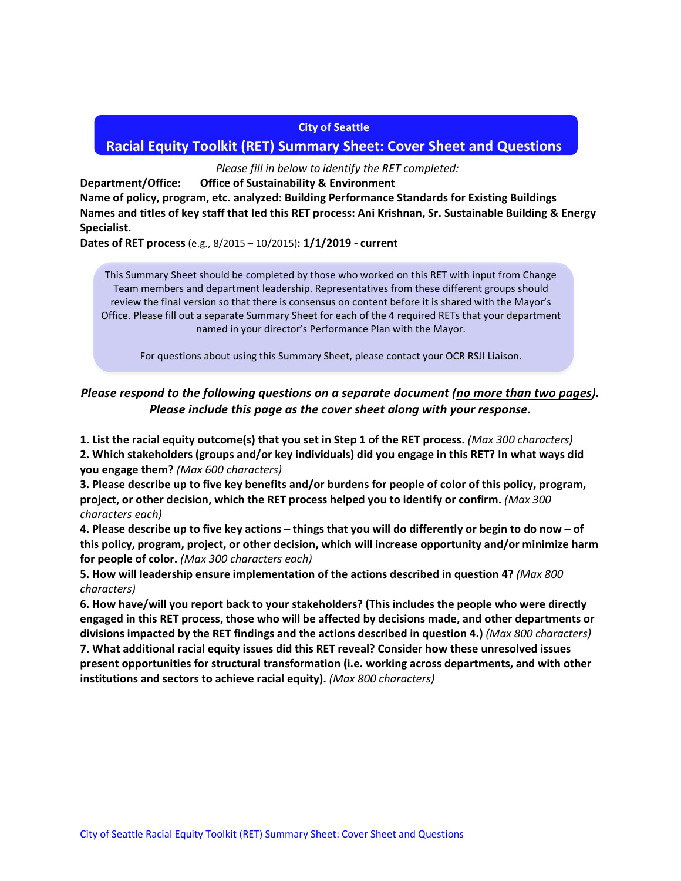#### **City of Seattle**

## **Racial Equity Toolkit (RET) Summary Sheet: Cover Sheet and Questions**

*Please fill in below to identify the RET completed:*

**Department/Office: Office of Sustainability & Environment**

**Name of policy, program, etc. analyzed: Building Performance Standards for Existing Buildings Names and titles of key staff that led this RET process: Ani Krishnan, Sr. Sustainable Building & Energy Specialist.**

**Dates of RET process** (e.g., 8/2015 – 10/2015)**: 1/1/2019 - current**

This Summary Sheet should be completed by those who worked on this RET with input from Change Team members and department leadership. Representatives from these different groups should review the final version so that there is consensus on content before it is shared with the Mayor's Office. Please fill out a separate Summary Sheet for each of the 4 required RETs that your department named in your director's Performance Plan with the Mayor.

For questions about using this Summary Sheet, please contact your OCR RSJI Liaison.

# *Please respond to the following questions on a separate document (no more than two pages). Please include this page as the cover sheet along with your response.*

**1. List the racial equity outcome(s) that you set in Step 1 of the RET process.** *(Max 300 characters)* **2. Which stakeholders (groups and/or key individuals) did you engage in this RET? In what ways did** 

**you engage them?** *(Max 600 characters)*

**3. Please describe up to five key benefits and/or burdens for people of color of this policy, program, project, or other decision, which the RET process helped you to identify or confirm.** *(Max 300 characters each)*

**4. Please describe up to five key actions – things that you will do differently or begin to do now – of this policy, program, project, or other decision, which will increase opportunity and/or minimize harm for people of color.** *(Max 300 characters each)*

**5. How will leadership ensure implementation of the actions described in question 4?** *(Max 800 characters)*

**6. How have/will you report back to your stakeholders? (This includes the people who were directly engaged in this RET process, those who will be affected by decisions made, and other departments or divisions impacted by the RET findings and the actions described in question 4.)** *(Max 800 characters)* **7. What additional racial equity issues did this RET reveal? Consider how these unresolved issues present opportunities for structural transformation (i.e. working across departments, and with other institutions and sectors to achieve racial equity).** *(Max 800 characters)*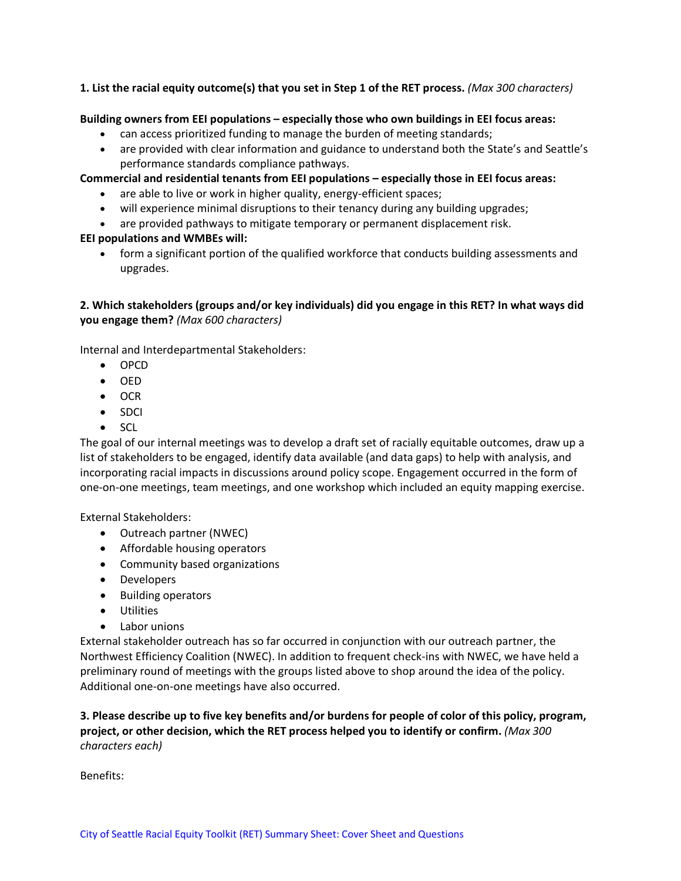#### **1. List the racial equity outcome(s) that you set in Step 1 of the RET process.** *(Max 300 characters)*

#### **Building owners from EEI populations – especially those who own buildings in EEI focus areas:**

- can access prioritized funding to manage the burden of meeting standards;
- are provided with clear information and guidance to understand both the State's and Seattle's performance standards compliance pathways.

### **Commercial and residential tenants from EEI populations – especially those in EEI focus areas:**

- are able to live or work in higher quality, energy-efficient spaces;
- will experience minimal disruptions to their tenancy during any building upgrades;
- are provided pathways to mitigate temporary or permanent displacement risk.

#### **EEI populations and WMBEs will:**

• form a significant portion of the qualified workforce that conducts building assessments and upgrades.

## **2. Which stakeholders (groups and/or key individuals) did you engage in this RET? In what ways did you engage them?** *(Max 600 characters)*

Internal and Interdepartmental Stakeholders:

- OPCD
- OED
- OCR
- SDCI
- SCL

The goal of our internal meetings was to develop a draft set of racially equitable outcomes, draw up a list of stakeholders to be engaged, identify data available (and data gaps) to help with analysis, and incorporating racial impacts in discussions around policy scope. Engagement occurred in the form of one-on-one meetings, team meetings, and one workshop which included an equity mapping exercise.

External Stakeholders:

- Outreach partner (NWEC)
- Affordable housing operators
- Community based organizations
- Developers
- Building operators
- Utilities
- Labor unions

External stakeholder outreach has so far occurred in conjunction with our outreach partner, the Northwest Efficiency Coalition (NWEC). In addition to frequent check-ins with NWEC, we have held a preliminary round of meetings with the groups listed above to shop around the idea of the policy. Additional one-on-one meetings have also occurred.

## **3. Please describe up to five key benefits and/or burdens for people of color of this policy, program, project, or other decision, which the RET process helped you to identify or confirm.** *(Max 300 characters each)*

Benefits: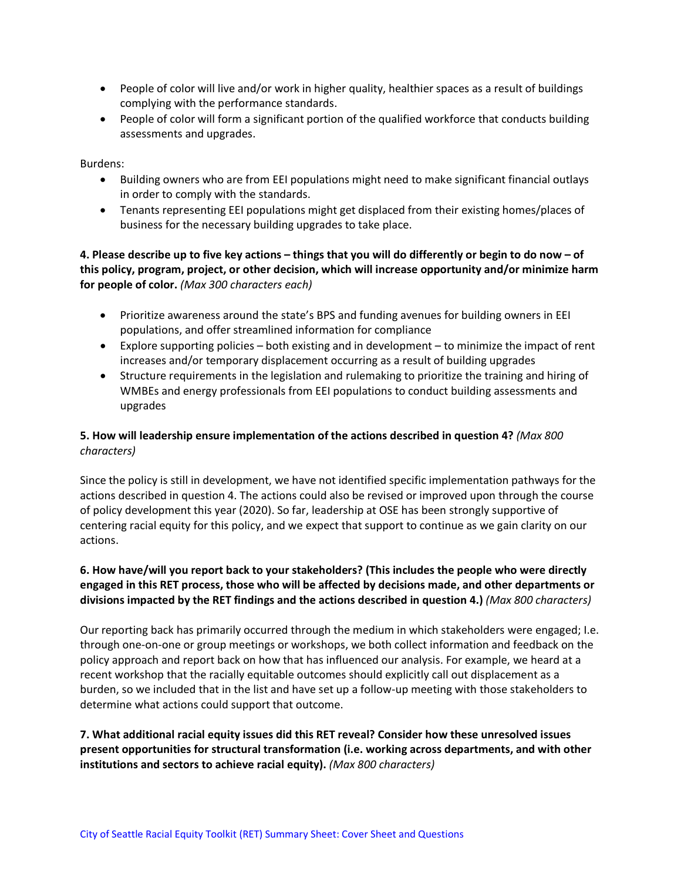- People of color will live and/or work in higher quality, healthier spaces as a result of buildings complying with the performance standards.
- People of color will form a significant portion of the qualified workforce that conducts building assessments and upgrades.

Burdens:

- Building owners who are from EEI populations might need to make significant financial outlays in order to comply with the standards.
- Tenants representing EEI populations might get displaced from their existing homes/places of business for the necessary building upgrades to take place.

**4. Please describe up to five key actions – things that you will do differently or begin to do now – of this policy, program, project, or other decision, which will increase opportunity and/or minimize harm for people of color.** *(Max 300 characters each)*

- Prioritize awareness around the state's BPS and funding avenues for building owners in EEI populations, and offer streamlined information for compliance
- Explore supporting policies both existing and in development to minimize the impact of rent increases and/or temporary displacement occurring as a result of building upgrades
- Structure requirements in the legislation and rulemaking to prioritize the training and hiring of WMBEs and energy professionals from EEI populations to conduct building assessments and upgrades

### **5. How will leadership ensure implementation of the actions described in question 4?** *(Max 800 characters)*

Since the policy is still in development, we have not identified specific implementation pathways for the actions described in question 4. The actions could also be revised or improved upon through the course of policy development this year (2020). So far, leadership at OSE has been strongly supportive of centering racial equity for this policy, and we expect that support to continue as we gain clarity on our actions.

## **6. How have/will you report back to your stakeholders? (This includes the people who were directly engaged in this RET process, those who will be affected by decisions made, and other departments or divisions impacted by the RET findings and the actions described in question 4.)** *(Max 800 characters)*

Our reporting back has primarily occurred through the medium in which stakeholders were engaged; I.e. through one-on-one or group meetings or workshops, we both collect information and feedback on the policy approach and report back on how that has influenced our analysis. For example, we heard at a recent workshop that the racially equitable outcomes should explicitly call out displacement as a burden, so we included that in the list and have set up a follow-up meeting with those stakeholders to determine what actions could support that outcome.

**7. What additional racial equity issues did this RET reveal? Consider how these unresolved issues present opportunities for structural transformation (i.e. working across departments, and with other institutions and sectors to achieve racial equity).** *(Max 800 characters)*